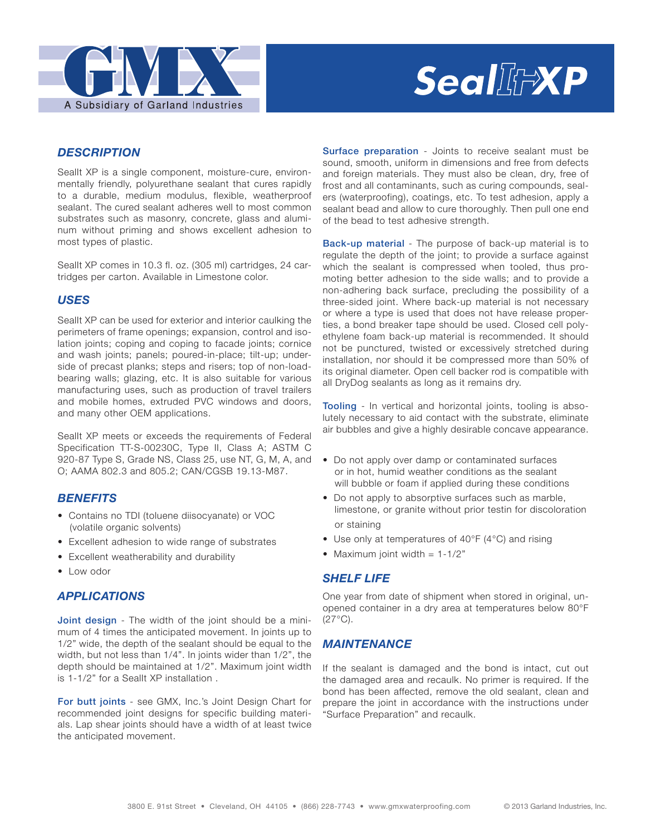

# Seal附exp

### *DESCRIPTION*

SealIt XP is a single component, moisture-cure, environmentally friendly, polyurethane sealant that cures rapidly to a durable, medium modulus, flexible, weatherproof sealant. The cured sealant adheres well to most common substrates such as masonry, concrete, glass and aluminum without priming and shows excellent adhesion to most types of plastic.

Seallt XP comes in 10.3 fl. oz. (305 ml) cartridges, 24 cartridges per carton. Available in Limestone color.

### *USES*

Seallt XP can be used for exterior and interior caulking the perimeters of frame openings; expansion, control and isolation joints; coping and coping to facade joints; cornice and wash joints; panels; poured-in-place; tilt-up; underside of precast planks; steps and risers; top of non-loadbearing walls; glazing, etc. It is also suitable for various manufacturing uses, such as production of travel trailers and mobile homes, extruded PVC windows and doors, and many other OEM applications.

SealIt XP meets or exceeds the requirements of Federal Specification TT-S-00230C, Type II, Class A; ASTM C 920-87 Type S, Grade NS, Class 25, use NT, G, M, A, and O; AAMA 802.3 and 805.2; CAN/CGSB 19.13-M87.

## *BENEFITS*

- Contains no TDI (toluene diisocyanate) or VOC (volatile organic solvents)
- Excellent adhesion to wide range of substrates
- Excellent weatherability and durability
- Low odor

#### *APPLICATIONS*

**Joint design** - The width of the joint should be a minimum of 4 times the anticipated movement. In joints up to 1/2" wide, the depth of the sealant should be equal to the width, but not less than 1/4". In joints wider than 1/2", the depth should be maintained at 1/2". Maximum joint width is 1-1/2" for a Seallt XP installation.

For butt joints - see GMX, Inc.'s Joint Design Chart for recommended joint designs for specific building materials. Lap shear joints should have a width of at least twice the anticipated movement.

Surface preparation - Joints to receive sealant must be sound, smooth, uniform in dimensions and free from defects and foreign materials. They must also be clean, dry, free of frost and all contaminants, such as curing compounds, sealers (waterproofing), coatings, etc. To test adhesion, apply a sealant bead and allow to cure thoroughly. Then pull one end of the bead to test adhesive strength.

Back-up material - The purpose of back-up material is to regulate the depth of the joint; to provide a surface against which the sealant is compressed when tooled, thus promoting better adhesion to the side walls; and to provide a non-adhering back surface, precluding the possibility of a three-sided joint. Where back-up material is not necessary or where a type is used that does not have release properties, a bond breaker tape should be used. Closed cell polyethylene foam back-up material is recommended. It should not be punctured, twisted or excessively stretched during installation, nor should it be compressed more than 50% of its original diameter. Open cell backer rod is compatible with all DryDog sealants as long as it remains dry.

Tooling - In vertical and horizontal joints, tooling is absolutely necessary to aid contact with the substrate, eliminate air bubbles and give a highly desirable concave appearance.

- Do not apply over damp or contaminated surfaces or in hot, humid weather conditions as the sealant will bubble or foam if applied during these conditions
- Do not apply to absorptive surfaces such as marble, limestone, or granite without prior testin for discoloration or staining
- Use only at temperatures of 40°F (4°C) and rising
- Maximum joint width  $= 1-1/2"$

#### *SHELF LIFE*

One year from date of shipment when stored in original, unopened container in a dry area at temperatures below 80°F  $(27^{\circ}C).$ 

#### *MAINTENANCE*

If the sealant is damaged and the bond is intact, cut out the damaged area and recaulk. No primer is required. If the bond has been affected, remove the old sealant, clean and prepare the joint in accordance with the instructions under "Surface Preparation" and recaulk.